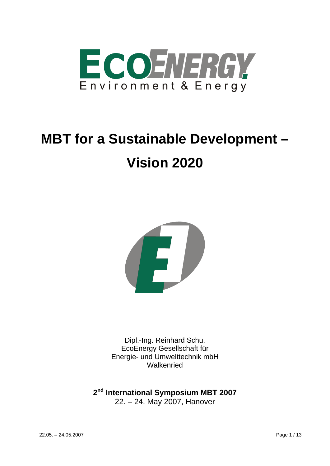

# **MBT for a Sustainable Development – Vision 2020**



Dipl.-Ing. Reinhard Schu, EcoEnergy Gesellschaft für Energie- und Umwelttechnik mbH Walkenried

**2nd International Symposium MBT 2007**  22. – 24. May 2007, Hanover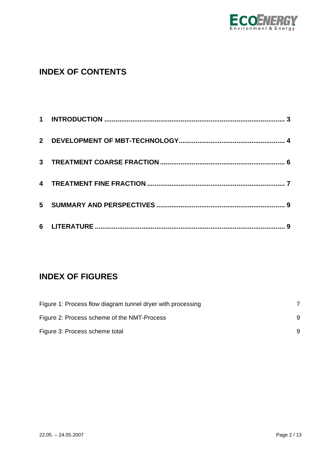

# **INDEX OF CONTENTS**

# **INDEX OF FIGURES**

| Figure 1: Process flow diagram tunnel dryer with processing |   |
|-------------------------------------------------------------|---|
| Figure 2: Process scheme of the NMT-Process                 | 9 |
| Figure 3: Process scheme total                              | 9 |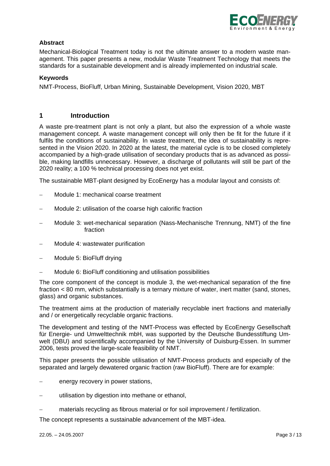

## **Abstract**

Mechanical-Biological Treatment today is not the ultimate answer to a modern waste management. This paper presents a new, modular Waste Treatment Technology that meets the standards for a sustainable development and is already implemented on industrial scale.

#### **Keywords**

NMT-Process, BioFluff, Urban Mining, Sustainable Development, Vision 2020, MBT

#### **1 Introduction**

A waste pre-treatment plant is not only a plant, but also the expression of a whole waste management concept. A waste management concept will only then be fit for the future if it fulfils the conditions of sustainability. In waste treatment, the idea of sustainability is represented in the Vision 2020. In 2020 at the latest, the material cycle is to be closed completely accompanied by a high-grade utilisation of secondary products that is as advanced as possible, making landfills unnecessary. However, a discharge of pollutants will still be part of the 2020 reality; a 100 % technical processing does not yet exist.

The sustainable MBT-plant designed by EcoEnergy has a modular layout and consists of:

- − Module 1: mechanical coarse treatment
- Module 2: utilisation of the coarse high calorific fraction
- − Module 3: wet-mechanical separation (Nass-Mechanische Trennung, NMT) of the fine fraction
- − Module 4: wastewater purification
- − Module 5: BioFluff drying
- Module 6: BioFluff conditioning and utilisation possibilities

The core component of the concept is module 3, the wet-mechanical separation of the fine fraction < 80 mm, which substantially is a ternary mixture of water, inert matter (sand, stones, glass) and organic substances.

The treatment aims at the production of materially recyclable inert fractions and materially and / or energetically recyclable organic fractions.

The development and testing of the NMT-Process was effected by EcoEnergy Gesellschaft für Energie- und Umwelttechnik mbH, was supported by the Deutsche Bundesstiftung Umwelt (DBU) and scientifically accompanied by the University of Duisburg-Essen. In summer 2006, tests proved the large-scale feasibility of NMT.

This paper presents the possible utilisation of NMT-Process products and especially of the separated and largely dewatered organic fraction (raw BioFluff). There are for example:

- energy recovery in power stations,
- utilisation by digestion into methane or ethanol,
- materials recycling as fibrous material or for soil improvement / fertilization.

The concept represents a sustainable advancement of the MBT-idea.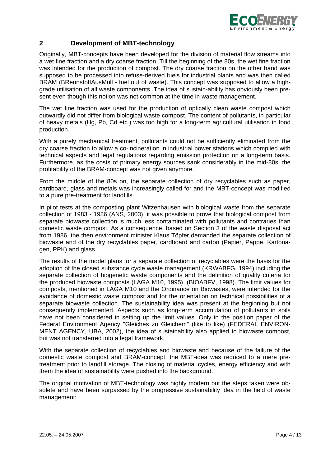

# **2 Development of MBT-technology**

Originally, MBT-concepts have been developed for the division of material flow streams into a wet fine fraction and a dry coarse fraction. Till the beginning of the 80s, the wet fine fraction was intended for the production of compost. The dry coarse fraction on the other hand was supposed to be processed into refuse-derived fuels for industrial plants and was then called BRAM (BRennstoffAusMüll - fuel out of waste). This concept was supposed to allow a highgrade utilisation of all waste components. The idea of sustain-ability has obviously been present even though this notion was not common at the time in waste management.

The wet fine fraction was used for the production of optically clean waste compost which outwardly did not differ from biological waste compost. The content of pollutants, in particular of heavy metals (Hg, Pb, Cd etc.) was too high for a long-term agricultural utilisation in food production.

With a purely mechanical treatment, pollutants could not be sufficiently eliminated from the dry coarse fraction to allow a co-incineration in industrial power stations which complied with technical aspects and legal regulations regarding emission protection on a long-term basis. Furthermore, as the costs of primary energy sources sank considerably in the mid-80s, the profitability of the BRAM-concept was not given anymore.

From the middle of the 80s on, the separate collection of dry recyclables such as paper, cardboard, glass and metals was increasingly called for and the MBT-concept was modified to a pure pre-treatment for landfills.

In pilot tests at the composting plant Witzenhausen with biological waste from the separate collection of 1983 - 1986 (ANS, 2003), it was possible to prove that biological compost from separate biowaste collection is much less contaminated with pollutants and contraries than domestic waste compost. As a consequence, based on Section 3 of the waste disposal act from 1986, the then environment minister Klaus Töpfer demanded the separate collection of biowaste and of the dry recyclables paper, cardboard and carton (Papier, Pappe, Kartonagen, PPK) and glass.

The results of the model plans for a separate collection of recyclables were the basis for the adoption of the closed substance cycle waste management (KRWABFG, 1994) including the separate collection of biogenetic waste components and the definition of quality criteria for the produced biowaste composts (LAGA M10, 1995), (BIOABFV, 1998). The limit values for composts, mentioned in LAGA M10 and the Ordinance on Biowastes, were intended for the avoidance of domestic waste compost and for the orientation on technical possibilities of a separate biowaste collection. The sustainability idea was present at the beginning but not consequently implemented. Aspects such as long-term accumulation of pollutants in soils have not been considered in setting up the limit values. Only in the position paper of the Federal Environment Agency "Gleiches zu Gleichem" (like to like) (FEDERAL ENVIRON-MENT AGENCY, UBA, 2002), the idea of sustainability also applied to biowaste compost, but was not transferred into a legal framework.

With the separate collection of recyclables and biowaste and because of the failure of the domestic waste compost and BRAM-concept, the MBT-idea was reduced to a mere pretreatment prior to landfill storage. The closing of material cycles, energy efficiency and with them the idea of sustainability were pushed into the background.

The original motivation of MBT-technology was highly modern but the steps taken were obsolete and have been surpassed by the progressive sustainability idea in the field of waste management: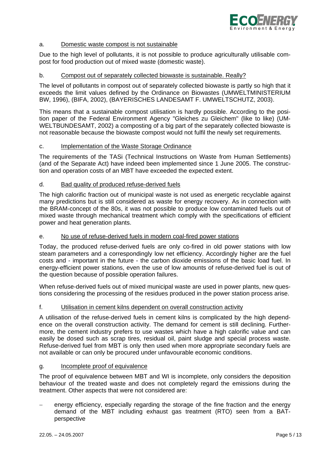

#### a. Domestic waste compost is not sustainable

Due to the high level of pollutants, it is not possible to produce agriculturally utilisable compost for food production out of mixed waste (domestic waste).

#### b. Compost out of separately collected biowaste is sustainable. Really?

The level of pollutants in compost out of separately collected biowaste is partly so high that it exceeds the limit values defined by the Ordinance on Biowastes (UMWELTMINISTERIUM BW, 1996), (BIFA, 2002), (BAYERISCHES LANDESAMT F. UMWELTSCHUTZ, 2003).

This means that a sustainable compost utilisation is hardly possible. According to the position paper of the Federal Environment Agency "Gleiches zu Gleichem" (like to like) (UM-WELTBUNDESAMT, 2002) a composting of a big part of the separately collected biowaste is not reasonable because the biowaste compost would not fulfil the newly set requirements.

#### c. Implementation of the Waste Storage Ordinance

The requirements of the TASi (Technical Instructions on Waste from Human Settlements) (and of the Separate Act) have indeed been implemented since 1 June 2005. The construction and operation costs of an MBT have exceeded the expected extent.

#### d. Bad quality of produced refuse-derived fuels

The high calorific fraction out of municipal waste is not used as energetic recyclable against many predictions but is still considered as waste for energy recovery. As in connection with the BRAM-concept of the 80s, it was not possible to produce low contaminated fuels out of mixed waste through mechanical treatment which comply with the specifications of efficient power and heat generation plants.

#### e. No use of refuse-derived fuels in modern coal-fired power stations

Today, the produced refuse-derived fuels are only co-fired in old power stations with low steam parameters and a correspondingly low net efficiency. Accordingly higher are the fuel costs and - important in the future - the carbon dioxide emissions of the basic load fuel. In energy-efficient power stations, even the use of low amounts of refuse-derived fuel is out of the question because of possible operation failures.

When refuse-derived fuels out of mixed municipal waste are used in power plants, new questions considering the processing of the residues produced in the power station process arise.

#### f. Utilisation in cement kilns dependent on overall construction activity

A utilisation of the refuse-derived fuels in cement kilns is complicated by the high dependence on the overall construction activity. The demand for cement is still declining. Furthermore, the cement industry prefers to use wastes which have a high calorific value and can easily be dosed such as scrap tires, residual oil, paint sludge and special process waste. Refuse-derived fuel from MBT is only then used when more appropriate secondary fuels are not available or can only be procured under unfavourable economic conditions.

#### g. Incomplete proof of equivalence

The proof of equivalence between MBT and WI is incomplete, only considers the deposition behaviour of the treated waste and does not completely regard the emissions during the treatment. Other aspects that were not considered are:

energy efficiency, especially regarding the storage of the fine fraction and the energy demand of the MBT including exhaust gas treatment (RTO) seen from a BATperspective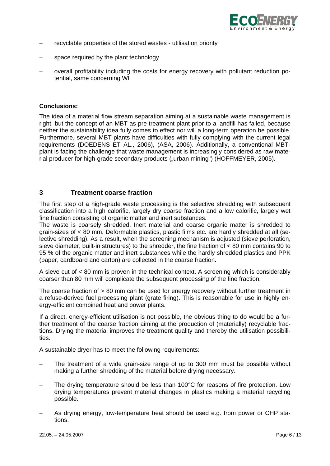

- − recyclable properties of the stored wastes utilisation priority
- space required by the plant technology
- − overall profitability including the costs for energy recovery with pollutant reduction potential, same concerning WI

#### **Conclusions:**

The idea of a material flow stream separation aiming at a sustainable waste management is right, but the concept of an MBT as pre-treatment plant prior to a landfill has failed, because neither the sustainability idea fully comes to effect nor will a long-term operation be possible. Furthermore, several MBT-plants have difficulties with fully complying with the current legal requirements (DOEDENS ET AL., 2006), (ASA, 2006). Additionally, a conventional MBTplant is facing the challenge that waste management is increasingly considered as raw material producer for high-grade secondary products ("urban mining") (HOFFMEYER, 2005).

## **3 Treatment coarse fraction**

The first step of a high-grade waste processing is the selective shredding with subsequent classification into a high calorific, largely dry coarse fraction and a low calorific, largely wet fine fraction consisting of organic matter and inert substances.

The waste is coarsely shredded. Inert material and coarse organic matter is shredded to grain-sizes of < 80 mm. Deformable plastics, plastic films etc. are hardly shredded at all (selective shredding). As a result, when the screening mechanism is adjusted (sieve perforation, sieve diameter, built-in structures) to the shredder, the fine fraction of < 80 mm contains 90 to 95 % of the organic matter and inert substances while the hardly shredded plastics and PPK (paper, cardboard and carton) are collected in the coarse fraction.

A sieve cut of < 80 mm is proven in the technical context. A screening which is considerably coarser than 80 mm will complicate the subsequent processing of the fine fraction.

The coarse fraction of > 80 mm can be used for energy recovery without further treatment in a refuse-derived fuel processing plant (grate firing). This is reasonable for use in highly energy-efficient combined heat and power plants.

If a direct, energy-efficient utilisation is not possible, the obvious thing to do would be a further treatment of the coarse fraction aiming at the production of (materially) recyclable fractions. Drying the material improves the treatment quality and thereby the utilisation possibilities.

A sustainable dryer has to meet the following requirements:

- The treatment of a wide grain-size range of up to 300 mm must be possible without making a further shredding of the material before drying necessary.
- The drying temperature should be less than 100°C for reasons of fire protection. Low drying temperatures prevent material changes in plastics making a material recycling possible.
- − As drying energy, low-temperature heat should be used e.g. from power or CHP stations.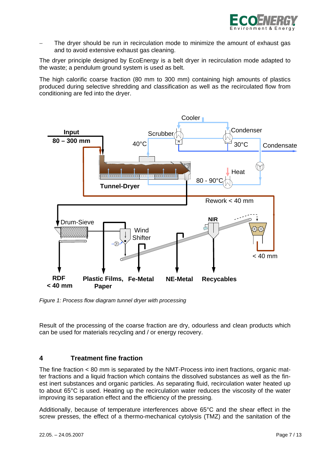

The dryer should be run in recirculation mode to minimize the amount of exhaust gas and to avoid extensive exhaust gas cleaning.

The dryer principle designed by EcoEnergy is a belt dryer in recirculation mode adapted to the waste; a pendulum ground system is used as belt.

The high calorific coarse fraction (80 mm to 300 mm) containing high amounts of plastics produced during selective shredding and classification as well as the recirculated flow from conditioning are fed into the dryer.



*Figure 1: Process flow diagram tunnel dryer with processing* 

Result of the processing of the coarse fraction are dry, odourless and clean products which can be used for materials recycling and / or energy recovery.

#### **4 Treatment fine fraction**

The fine fraction < 80 mm is separated by the NMT-Process into inert fractions, organic matter fractions and a liquid fraction which contains the dissolved substances as well as the finest inert substances and organic particles. As separating fluid, recirculation water heated up to about 65°C is used. Heating up the recirculation water reduces the viscosity of the water improving its separation effect and the efficiency of the pressing.

Additionally, because of temperature interferences above 65°C and the shear effect in the screw presses, the effect of a thermo-mechanical cytolysis (TMZ) and the sanitation of the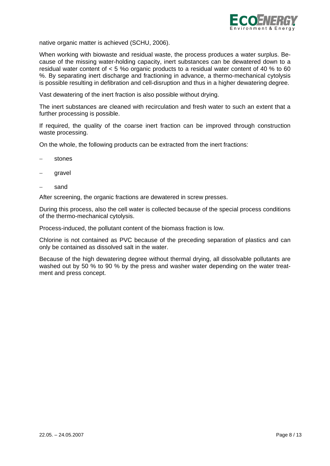

native organic matter is achieved (SCHU, 2006).

When working with biowaste and residual waste, the process produces a water surplus. Because of the missing water-holding capacity, inert substances can be dewatered down to a residual water content of < 5 %o organic products to a residual water content of 40 % to 60 %. By separating inert discharge and fractioning in advance, a thermo-mechanical cytolysis is possible resulting in defibration and cell-disruption and thus in a higher dewatering degree.

Vast dewatering of the inert fraction is also possible without drying.

The inert substances are cleaned with recirculation and fresh water to such an extent that a further processing is possible.

If required, the quality of the coarse inert fraction can be improved through construction waste processing.

On the whole, the following products can be extracted from the inert fractions:

- stones
- gravel
- sand

After screening, the organic fractions are dewatered in screw presses.

During this process, also the cell water is collected because of the special process conditions of the thermo-mechanical cytolysis.

Process-induced, the pollutant content of the biomass fraction is low.

Chlorine is not contained as PVC because of the preceding separation of plastics and can only be contained as dissolved salt in the water.

Because of the high dewatering degree without thermal drying, all dissolvable pollutants are washed out by 50 % to 90 % by the press and washer water depending on the water treatment and press concept.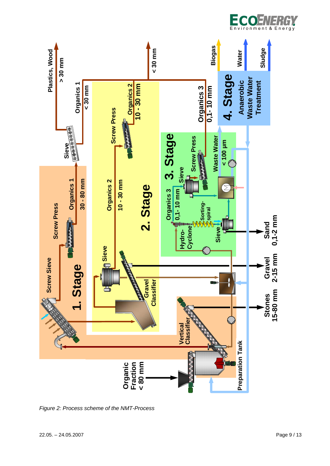

*Figure 2: Process scheme of the NMT-Process* 

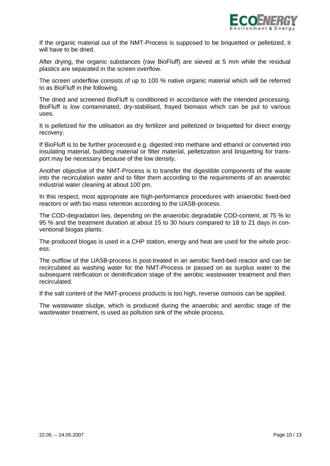

If the organic material out of the NMT-Process is supposed to be briquetted or pelletized, it will have to be dried.

After drying, the organic substances (raw BioFluff) are sieved at 5 mm while the residual plastics are separated in the screen overflow.

The screen underflow consists of up to 100 % native organic material which will be referred to as BioFluff in the following.

The dried and screened BioFluff is conditioned in accordance with the intended processing. BioFluff is low contaminated, dry-stabilised, frayed biomass which can be put to various uses.

It is pelletized for the utilisation as dry fertilizer and pelletized or briquetted for direct energy recovery.

If BioFluff is to be further processed e.g. digested into methane and ethanol or converted into insulating material, building material or filter material, pelletization and briquetting for transport may be necessary because of the low density.

Another objective of the NMT-Process is to transfer the digestible components of the waste into the recirculation water and to filter them according to the requirements of an anaerobic industrial water cleaning at about 100 pm.

In this respect, most appropriate are high-performance procedures with anaerobic fixed-bed reactors or with bio mass retention according to the UASB-process.

The COD-degradation lies, depending on the anaerobic degradable COD-content, at 75 % to 95 % and the treatment duration at about 15 to 30 hours compared to 18 to 21 days in conventional biogas plants.

The produced biogas is used in a CHP station, energy and heat are used for the whole process.

The outflow of the UASB-process is post-treated in an aerobic fixed-bed reactor and can be recirculated as washing water for the NMT-Process or passed on as surplus water to the subsequent nitrification or denitrification stage of the aerobic wastewater treatment and then recirculated.

If the salt content of the NMT-process products is too high, reverse osmosis can be applied.

The wastewater sludge, which is produced during the anaerobic and aerobic stage of the wastewater treatment, is used as pollution sink of the whole process.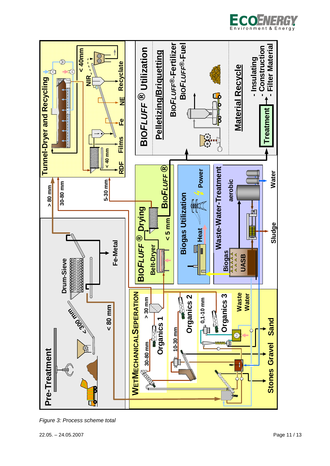



*Figure 3: Process scheme total*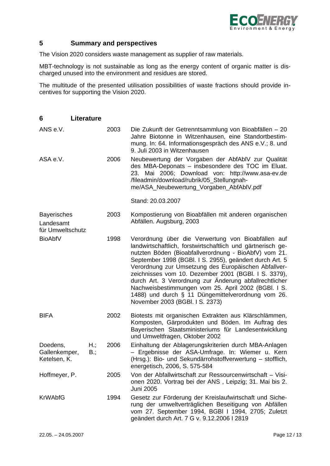

# **5 Summary and perspectives**

The Vision 2020 considers waste management as supplier of raw materials.

MBT-technology is not sustainable as long as the energy content of organic matter is discharged unused into the environment and residues are stored.

The multitude of the presented utilisation possibilities of waste fractions should provide incentives for supporting the Vision 2020.

| 6                                                                     | <b>Literature</b> |                    |                                                                                                                                                                                                                                                                                                                                                                                                                                                                                                                                                                 |                                                                                                                                                                                                                                                       |
|-----------------------------------------------------------------------|-------------------|--------------------|-----------------------------------------------------------------------------------------------------------------------------------------------------------------------------------------------------------------------------------------------------------------------------------------------------------------------------------------------------------------------------------------------------------------------------------------------------------------------------------------------------------------------------------------------------------------|-------------------------------------------------------------------------------------------------------------------------------------------------------------------------------------------------------------------------------------------------------|
| ANS e.V.                                                              |                   |                    | 2003                                                                                                                                                                                                                                                                                                                                                                                                                                                                                                                                                            | Die Zukunft der Getrenntsammlung von Bioabfällen - 20<br>Jahre Biotonne in Witzenhausen, eine Standortbestim-<br>mung. In: 64. Informationsgespräch des ANS e.V.; 8. und<br>9. Juli 2003 in Witzenhausen                                              |
| ASA e.V.                                                              |                   |                    | 2006                                                                                                                                                                                                                                                                                                                                                                                                                                                                                                                                                            | Neubewertung der Vorgaben der AbfAbIV zur Qualität<br>des MBA-Deponats - insbesondere des TOC im Eluat.<br>23. Mai 2006; Download von: http://www.asa-ev.de<br>/fileadmin/download/rubrik/05_Stellungnah-<br>me/ASA_Neubewertung_Vorgaben_AbfAbIV.pdf |
|                                                                       |                   |                    |                                                                                                                                                                                                                                                                                                                                                                                                                                                                                                                                                                 | Stand: 20.03.2007                                                                                                                                                                                                                                     |
| <b>Bayerisches</b><br>Landesamt<br>für Umweltschutz<br><b>BioAbfV</b> |                   |                    | 2003                                                                                                                                                                                                                                                                                                                                                                                                                                                                                                                                                            | Kompostierung von Bioabfällen mit anderen organischen<br>Abfällen. Augsburg, 2003                                                                                                                                                                     |
|                                                                       |                   | 1998               | Verordnung über die Verwertung von Bioabfällen auf<br>landwirtschaftlich, forstwirtschaftlich und gärtnerisch ge-<br>nutzten Böden (Bioabfallverordnung - BioAbfV) vom 21.<br>September 1998 (BGBI. I S. 2955), geändert durch Art. 5<br>Verordnung zur Umsetzung des Europäischen Abfallver-<br>zeichnisses vom 10. Dezember 2001 (BGBI. I S. 3379),<br>durch Art. 3 Verordnung zur Änderung abfallrechtlicher<br>Nachweisbestimmungen vom 25. April 2002 (BGBI. I S.<br>1488) und durch § 11 Düngemittelverordnung vom 26.<br>November 2003 (BGBI. I S. 2373) |                                                                                                                                                                                                                                                       |
| <b>BIFA</b>                                                           |                   |                    | 2002                                                                                                                                                                                                                                                                                                                                                                                                                                                                                                                                                            | Biotests mit organischen Extrakten aus Klärschlämmen,<br>Komposten, Gärprodukten und Böden. Im Auftrag des<br>Bayerischen Staatsministeriums für Landesentwicklung<br>und Umweltfragen, Oktober 2002                                                  |
| Doedens,<br>Gallenkemper,<br>Ketelsen, K.                             |                   | H.;<br>$B_{\cdot}$ | 2006                                                                                                                                                                                                                                                                                                                                                                                                                                                                                                                                                            | Einhaltung der Ablagerungskriterien durch MBA-Anlagen<br>- Ergebnisse der ASA-Umfrage. In: Wiemer u. Kern<br>(Hrsg.): Bio- und Sekundärrohstoffverwertung - stofflich,<br>energetisch, 2006, S. 575-584                                               |
| Hoffmeyer, P.                                                         |                   |                    | 2005                                                                                                                                                                                                                                                                                                                                                                                                                                                                                                                                                            | Von der Abfallwirtschaft zur Ressourcenwirtschaft - Visi-<br>onen 2020. Vortrag bei der ANS, Leipzig; 31. Mai bis 2.<br>Juni 2005                                                                                                                     |
| <b>KrWAbfG</b>                                                        |                   |                    | 1994                                                                                                                                                                                                                                                                                                                                                                                                                                                                                                                                                            | Gesetz zur Förderung der Kreislaufwirtschaft und Siche-<br>rung der umweltverträglichen Beseitigung von Abfällen<br>vom 27. September 1994, BGBI I 1994, 2705; Zuletzt<br>geändert durch Art. 7 G v. 9.12.2006 I 2819                                 |